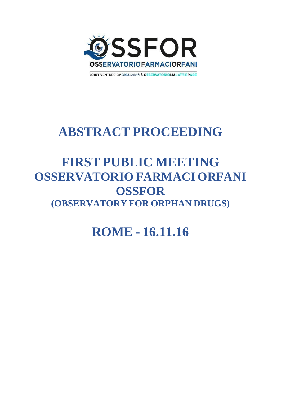

**JOINT VENTURE BY CREA Sanità & OSSERVATORIOMALATTIERARE** 

# **ABSTRACT PROCEEDING**

## **FIRST PUBLIC MEETING OSSERVATORIO FARMACI ORFANI OSSFOR (OBSERVATORY FOR ORPHAN DRUGS)**

**ROME - 16.11.16**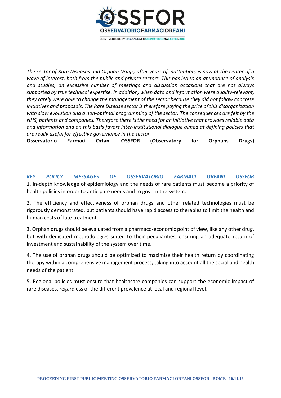

*The sector of Rare Diseases and Orphan Drugs, after years of inattention, is now at the center of a wave of interest, both from the public and private sectors. This has led to an abundance of analysis and studies, an excessive number of meetings and discussion occasions that are not always supported by true technical expertise. In addition, when data and information were quality-relevant, they rarely were able to change the management of the sector because they did not follow concrete initiatives and proposals. The Rare Disease sector is therefore paying the price of this disorganization with slow evolution and a non-optimal programming of the sector. The consequences are felt by the NHS, patients and companies. Therefore there is the need for an initiative that provides reliable data and information and on this basis favors inter-institutional dialogue aimed at defining policies that are really useful for effective governance in the sector.*

**Osservatorio Farmaci Orfani OSSFOR (Observatory for Orphans Drugs)**

*KEY POLICY MESSAGES OF OSSERVATORIO FARMACI ORFANI OSSFOR* 1. In-depth knowledge of epidemiology and the needs of rare patients must become a priority of health policies in order to anticipate needs and to govern the system.

2. The efficiency and effectiveness of orphan drugs and other related technologies must be rigorously demonstrated, but patients should have rapid access to therapies to limit the health and human costs of late treatment.

3. Orphan drugs should be evaluated from a pharmaco-economic point of view, like any other drug, but with dedicated methodologies suited to their peculiarities, ensuring an adequate return of investment and sustainability of the system over time.

4. The use of orphan drugs should be optimized to maximize their health return by coordinating therapy within a comprehensive management process, taking into account all the social and health needs of the patient.

5. Regional policies must ensure that healthcare companies can support the economic impact of rare diseases, regardless of the different prevalence at local and regional level.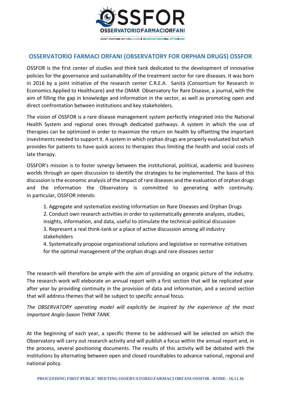

## **OSSERVATORIO FARMACI ORFANI (OBSERVATORY FOR ORPHAN DRUGS) OSSFOR**

OSSFOR is the first center of studies and think tank dedicated to the development of innovative policies for the governance and sustainability of the treatment sector for rare diseases. It was born in 2016 by a joint initiative of the research center C.R.E.A. Sanità (Consortium for Research in Economics Applied to Healthcare) and the OMAR Observatory for Rare Disease, a journal, with the aim of filling the gap in knowledge and information in the sector, as well as promoting open and direct confrontation between institutions and key stakeholders.

The vision of OSSFOR is a rare disease management system perfectly integrated into the National Health System and regional ones through dedicated pathways. A system in which the use of therapies can be optimized in order to maximize the return on health by offsetting the important investments needed to support it. A system in which orphan drugs are properly evaluated but which provides for patients to have quick access to therapies thus limiting the health and social costs of late therapy.

OSSFOR's mission is to foster synergy between the institutional, political, academic and business worlds through an open discussion to identify the strategies to be implemented. The basis of this discussion is the economic analysis of the impact of rare diseases and the evaluation of orphan drugs and the information the Observatory is committed to generating with continuity. In particular, OSSFOR intends:

1. Aggregate and systematize existing information on Rare Diseases and Orphan Drugs

2. Conduct own research activities in order to systematically generate analyzes, studies, insights, information, and data, useful to stimulate the technical-political discussion 3. Represent a real think-tank or a place of active discussion among all industry stakeholders

4. Systematically propose organizational solutions and legislative or normative initiatives for the optimal management of the orphan drugs and rare diseases sector

The research will therefore be ample with the aim of providing an organic picture of the industry. The research work will eleborate an annual report with a first section that will be replicated year after year by providing continuity in the provision of data and information, and a second section that will address themes that will be subject to specific annual focus.

*The OBSERVATORY operating model will explicitly be inspired by the experience of the most important Anglo-Saxon THINK TANK.*

At the beginning of each year, a specific theme to be addressed will be selected on which the Observatory will carry out research activity and will publish a focus within the annual report and, in the process, several positioning documents. The results of this activity will be debated with the institutions by alternating between open and closed roundtables to advance national, regional and national policy.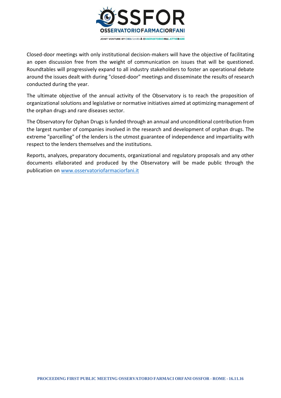

Closed-door meetings with only institutional decision-makers will have the objective of facilitating an open discussion free from the weight of communication on issues that will be questioned. Roundtables will progressively expand to all industry stakeholders to foster an operational debate around the issues dealt with during "closed-door" meetings and disseminate the results of research conducted during the year.

The ultimate objective of the annual activity of the Observatory is to reach the proposition of organizational solutions and legislative or normative initiatives aimed at optimizing management of the orphan drugs and rare diseases sector.

The Observatory for Ophan Drugs is funded through an annual and unconditional contribution from the largest number of companies involved in the research and development of orphan drugs. The extreme "parcelling" of the lenders is the utmost guarantee of independence and impartiality with respect to the lenders themselves and the institutions.

Reports, analyzes, preparatory documents, organizational and regulatory proposals and any other documents ellaborated and produced by the Observatory will be made public through the publication on [www.osservatoriofarmaciorfani.it](http://www.osservatoriofarmaciorfani.it/)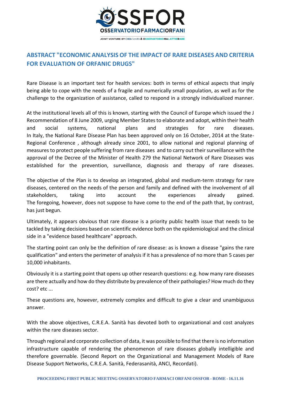

## **ABSTRACT "ECONOMIC ANALYSIS OF THE IMPACT OF RARE DISEASES AND CRITERIA FOR EVALUATION OF ORFANIC DRUGS"**

Rare Disease is an important test for health services: both in terms of ethical aspects that imply being able to cope with the needs of a fragile and numerically small population, as well as for the challenge to the organization of assistance, called to respond in a strongly individualized manner.

At the institutional levels all of this is known, starting with the Council of Europe which issued the J Recommendation of 8 June 2009, urging Member States to elaborate and adopt, within their health and social systems, national plans and strategies for rare diseases. In Italy, the National Rare Disease Plan has been approved only on 16 October, 2014 at the State-Regional Conference , although already since 2001, to allow national and regional planning of measures to protect people suffering from rare diseases and to carry out their surveillance with the approval of the Decree of the Minister of Health 279 the National Network of Rare Diseases was established for the prevention, surveillance, diagnosis and therapy of rare diseases.

The objective of the Plan is to develop an integrated, global and medium-term strategy for rare diseases, centered on the needs of the person and family and defined with the involvement of all stakeholders, taking into account the experiences already gained. The foregoing, however, does not suppose to have come to the end of the path that, by contrast, has just begun.

Ultimately, it appears obvious that rare disease is a priority public health issue that needs to be tackled by taking decisions based on scientific evidence both on the epidemiological and the clinical side in a "evidence based healthcare" approach.

The starting point can only be the definition of rare disease: as is known a disease "gains the rare qualification" and enters the perimeter of analysis if it has a prevalence of no more than 5 cases per 10,000 inhabitants.

Obviously it is a starting point that opens up other research questions: e.g. how many rare diseases are there actually and how do they distribute by prevalence of their pathologies? How much do they cost? etc ...

These questions are, however, extremely complex and difficult to give a clear and unambiguous answer.

With the above objectives, C.R.E.A. Sanità has devoted both to organizational and cost analyzes within the rare diseases sector.

Through regional and corporate collection of data, it was possible to find that there is no information infrastructure capable of rendering the phenomenon of rare diseases globally intelligible and therefore governable. (Second Report on the Organizational and Management Models of Rare Disease Support Networks, C.R.E.A. Sanità, Federasanità, ANCI, Recordati).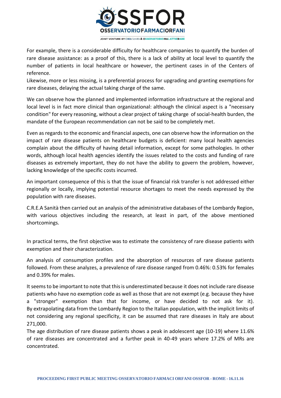

For example, there is a considerable difficulty for healthcare companies to quantify the burden of rare disease assistance: as a proof of this, there is a lack of ability at local level to quantify the number of patients in local healthcare or however, the pertinent cases in of the Centers of reference.

Likewise, more or less missing, is a preferential process for upgrading and granting exemptions for rare diseases, delaying the actual taking charge of the same.

We can observe how the planned and implemented information infrastructure at the regional and local level is in fact more clinical than organizational: although the clinical aspect is a "necessary condition" for every reasoning, without a clear project of taking charge of social-health burden, the mandate of the European recommendation can not be said to be completely met.

Even as regards to the economic and financial aspects, one can observe how the information on the impact of rare disease patients on healthcare budgets is deficient: many local health agencies complain about the difficulty of having detail information, except for some pathologies. In other words, although local health agencies identify the issues related to the costs and funding of rare diseases as extremely important, they do not have the ability to govern the problem, however, lacking knowledge of the specific costs incurred.

An important consequence of this is that the issue of financial risk transfer is not addressed either regionally or locally, implying potential resource shortages to meet the needs expressed by the population with rare diseases.

C.R.E.A Sanità then carried out an analysis of the administrative databases of the Lombardy Region, with various objectives including the research, at least in part, of the above mentioned shortcomings.

In practical terms, the first objective was to estimate the consistency of rare disease patients with exemption and their characterization.

An analysis of consumption profiles and the absorption of resources of rare disease patients followed. From these analyzes, a prevalence of rare disease ranged from 0.46%: 0.53% for females and 0.39% for males.

It seems to be important to note that this is underestimated because it does not include rare disease patients who have no exemption code as well as those that are not exempt (e.g. because they have a "stronger" exemption than that for income, or have decided to not ask for it). By extrapolating data from the Lombardy Region to the Italian population, with the implicit limits of not considering any regional specificity, it can be assumed that rare diseases in Italy are about 271,000.

The age distribution of rare disease patients shows a peak in adolescent age (10-19) where 11.6% of rare diseases are concentrated and a further peak in 40-49 years where 17.2% of MRs are concentrated.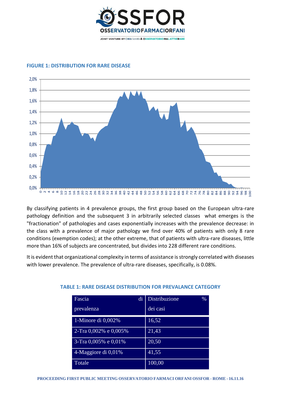



#### **FIGURE 1: DISTRIBUTION FOR RARE DISEASE**

By classifying patients in 4 prevalence groups, the first group based on the European ultra-rare pathology definition and the subsequent 3 in arbitrarily selected classes what emerges is the "fractionation" of pathologies and cases exponentially increases with the prevalence decrease: in the class with a prevalence of major pathology we find over 40% of patients with only 8 rare conditions (exemption codes); at the other extreme, that of patients with ultra-rare diseases, little more than 16% of subjects are concentrated, but divides into 228 different rare conditions.

It is evident that organizational complexity in terms of assistance is strongly correlated with diseases with lower prevalence. The prevalence of ultra-rare diseases, specifically, is 0.08%.

| Fascia                              | di | Distribuzione | $\%$ |
|-------------------------------------|----|---------------|------|
| prevalenza                          |    | dei casi      |      |
| 1-Minore di $0,002\%$               |    | 16,52         |      |
| $2-\text{Tra}\,0.002\%$ e $0.005\%$ |    | 21,43         |      |
| 3-Tra 0,005% e 0,01%                |    | 20,50         |      |
| 4-Maggiore di 0,01%                 |    | 41,55         |      |
| Totale                              |    | 100,00        |      |

#### **TABLE 1: RARE DISEASE DISTRIBUTION FOR PREVALANCE CATEGORY**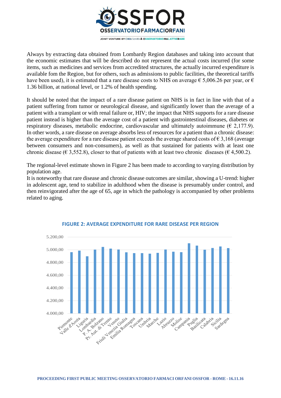

Always by extracting data obtained from Lombardy Region databases and taking into account that the economic estimates that will be described do not represent the actual costs incurred (for some items, such as medicines and services from accredited structures, the actually incurred expenditure is available fom the Region, but for others, such as admissions to public facilities, the theoretical tariffs have been used), it is estimated that a rare disease costs to NHS on average  $\epsilon$  5,006.26 per year, or  $\epsilon$ 1.36 billion, at national level, or 1.2% of health spending.

It should be noted that the impact of a rare disease patient on NHS is in fact in line with that of a patient suffering from tumor or neurological disease, and significantly lower than the average of a patient with a transplant or with renal failure or, HIV; the impact that NHS supports for a rare disease patient instead is higher than the average cost of a patient with gastrointestinal diseases, diabetes or respiratory diseases, metabolic endocrine, cardiovascular and ultimately autoimmune ( $\epsilon$  2,177.9). In other words, a rare disease on average absorbs less of resources for a patient than a chronic disease: the average expenditure for a rare disease patient exceeds the average shared costs of  $\epsilon$  3,168 (average between consumers and non-consumers), as well as that sustained for patients with at least one chronic disease ( $\epsilon$  3,552.8), closer to that of patients with at least two chronic diseases ( $\epsilon$  4,500.2).

The regional-level estimate shown in Figure 2 has been made to according to varying distribution by population age.

It is noteworthy that rare disease and chronic disease outcomes are similar, showing a U-trend: higher in adolescent age, tend to stabilize in adulthood when the disease is presumably under control, and then reinvigorated after the age of 65, age in which the pathology is accompanied by other problems related to aging.



#### **FIGURE 2: AVERAGE EXPENDITURE FOR RARE DISEASE PER REGION**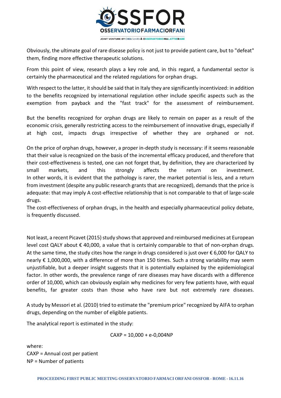

Obviously, the ultimate goal of rare disease policy is not just to provide patient care, but to "defeat" them, finding more effective therapeutic solutions.

From this point of view, research plays a key role and, in this regard, a fundamental sector is certainly the pharmaceutical and the related regulations for orphan drugs.

With respect to the latter, it should be said that in Italy they are significantly incentivized: in addition to the benefits recognized by international regulation other include specific aspects such as the exemption from payback and the "fast track" for the assessment of reimbursement.

But the benefits recognized for orphan drugs are likely to remain on paper as a result of the economic crisis, generally restricting access to the reimbursement of innovative drugs, especially if at high cost, impacts drugs irrespective of whether they are orphaned or not.

On the price of orphan drugs, however, a proper in-depth study is necessary: if it seems reasonable that their value is recognized on the basis of the incremental efficacy produced, and therefore that their cost-effectiveness is tested, one can not forget that, by definition, they are characterized by small markets, and this strongly affects the return on investment. In other words, it is evident that the pathology is rarer, the market potential is less, and a return from investment (despite any public research grants that are recognized), demands that the price is adequate: that may imply A cost-effective relationship that is not comparable to that of large-scale drugs.

The cost-effectiveness of orphan drugs, in the health and especially pharmaceutical policy debate, is frequently discussed.

Not least, a recent Picavet (2015) study shows that approved and reimbursed medicines at European level cost QALY about € 40,000, a value that is certainly comparable to that of non-orphan drugs. At the same time, the study cites how the range in drugs considered is just over  $\epsilon$  6,000 for QALY to nearly € 1,000,000, with a difference of more than 150 times. Such a strong variability may seem unjustifiable, but a deeper insight suggests that it is potentially explained by the epidemiological factor. In other words, the prevalence range of rare diseases may have discards with a difference order of 10,000, which can obviously explain why medicines for very few patients have, with equal benefits, far greater costs than those who have rare but not extremely rare diseases.

A study by Messori et al. (2010) tried to estimate the "premium price" recognized by AIFA to orphan drugs, depending on the number of eligible patients.

The analytical report is estimated in the study:

$$
CAYP = 10,000 + e-0,004NP
$$

where: CAXP = Annual cost per patient NP = Number of patients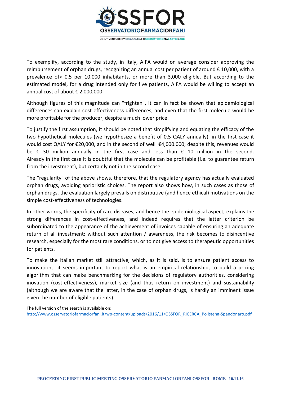

To exemplify, according to the study, in Italy, AIFA would on average consider approving the reimbursement of orphan drugs, recognizing an annual cost per patient of around € 10,000, with a prevalence of> 0.5 per 10,000 inhabitants, or more than 3,000 eligible. But according to the estimated model, for a drug intended only for five patients, AIFA would be willing to accept an annual cost of about € 2,000,000.

Although figures of this magnitude can "frighten", it can in fact be shown that epidemiological differences can explain cost-effectiveness differences, and even that the first molecule would be more profitable for the producer, despite a much lower price.

To justify the first assumption, it should be noted that simplifying and equating the efficacy of the two hypothetical molecules (we hypothesize a benefit of 0.5 QALY annually), in the first case it would cost QALY for €20,000, and in the second of well €4,000.000; despite this, revenues would be  $\epsilon$  30 million annually in the first case and less than  $\epsilon$  10 million in the second. Already in the first case it is doubtful that the molecule can be profitable (i.e. to guarantee return from the investment), but certainly not in the second case.

The "regularity" of the above shows, therefore, that the regulatory agency has actually evaluated orphan drugs, avoiding aprioristic choices. The report also shows how, in such cases as those of orphan drugs, the evaluation largely prevails on distributive (and hence ethical) motivations on the simple cost-effectiveness of technologies.

In other words, the specificity of rare diseases, and hence the epidemiological aspect, explains the strong differences in cost-effectiveness, and indeed requires that the latter criterion be subordinated to the appearance of the achievement of invoices capable of ensuring an adequate return of all investment; without such attention / awareness, the risk becomes to disincentive research, especially for the most rare conditions, or to not give access to therapeutic opportunities for patients.

To make the Italian market still attractive, which, as it is said, is to ensure patient access to innovation, it seems important to report what is an empirical relationship, to build a pricing algorithm that can make benchmarking for the decisions of regulatory authorities, considering inovation (cost-effectiveness), market size (and thus return on investment) and sustainability (although we are aware that the latter, in the case of orphan drugs, is hardly an imminent issue given the number of eligible patients).

The full version of the search is available on: [http://www.osservatoriofarmaciorfani.it/wp-content/uploads/2016/11/OSSFOR\\_RICERCA\\_Polistena-Spandonaro.pdf](http://www.osservatoriofarmaciorfani.it/wp-content/uploads/2016/11/OSSFOR_RICERCA_Polistena-Spandonaro.pdf)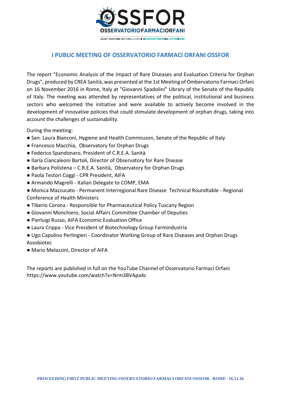

## **I PUBLIC MEETING OF OSSERVATORIO FARMACI ORFANI OSSFOR**

The report "Economic Analysis of the Impact of Rare Diseases and Evaluation Criteria for Orphan Drugs", produced by CREA Sanità, was presented at the 1st Meeting of Ombervatorio Farmaci Orfani on 16 November 2016 in Rome, Italy at "Giovanni Spadolini" Library of the Senate of the Republic of Italy. The meeting was attended by representatives of the political, institutional and business sectors who welcomed the initiative and were available to actively become involved in the development of innovative policies that could stimulate development of orphan drugs, taking into account the challenges of sustainability.

During the meeting:

- Sen. Laura Bianconi, Hygiene and Health Commission, Senate of the Republic of Italy
- Francesco Macchia, Observatory for Orphan Drugs
- Federico Spandonaro, President of C.R.E.A. Sanità
- Ilaria Ciancaleoni Bartoli, Director of Observatory for Rare Disease
- Barbara Polistena C.R.E.A. Sanità, Observatory for Orphan Drugs
- Paola Testori Coggi CPR President, AIFA
- Armando Magrelli Italian Delegate to COMP, EMA
- Monica Mazzucato Permanent Interregional Rare Disease Technical Roundtable Regional Conference of Health Ministers
- Tiberio Corona Responsible for Pharmaceutical Policy Tuscany Region
- Giovanni Monchiero, Social Affairs Committee Chamber of Deputies
- Pierluigi Russo, AIFA Economic Evaluation Office
- Laura Crippa Vice President of Biotechnology Group Farmindustria
- Ugo Capolino Perlingieri Coordinator Working Group of Rare Diseases and Orphan Drugs Assobiotec
- Mario Melazzini, Director of AIFA

The reports are published in full on the YouTube Channel of Osservatorio Farmaci Orfani https://www.youtube.com/watch?v=Nrm3BVApa4c